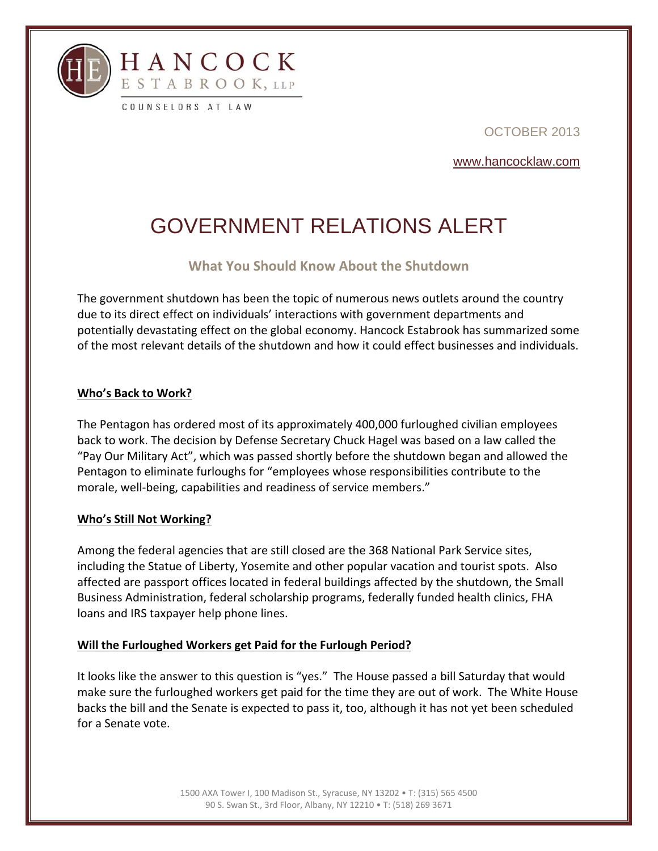

OCTOBER 2013

www.hancocklaw.com

# GOVERNMENT RELATIONS ALERT

## **What You Should Know About the Shutdown**

The government shutdown has been the topic of numerous news outlets around the country due to its direct effect on individuals' interactions with government departments and potentially devastating effect on the global economy. Hancock Estabrook has summarized some of the most relevant details of the shutdown and how it could effect businesses and individuals.

#### **Who's Back to Work?**

The Pentagon has ordered most of its approximately 400,000 furloughed civilian employees back to work. The decision by Defense Secretary Chuck Hagel was based on a law called the "Pay Our Military Act", which was passed shortly before the shutdown began and allowed the Pentagon to eliminate furloughs for "employees whose responsibilities contribute to the morale, well-being, capabilities and readiness of service members."

## **Who's Still Not Working?**

l

Among the federal agencies that are still closed are the 368 National Park Service sites, including the Statue of Liberty, Yosemite and other popular vacation and tourist spots. Also affected are passport offices located in federal buildings affected by the shutdown, the Small Business Administration, federal scholarship programs, federally funded health clinics, FHA loans and IRS taxpayer help phone lines.

## **Will the Furloughed Workers get Paid for the Furlough Period?**

It looks like the answer to this question is "yes." The House passed a bill Saturday that would make sure the furloughed workers get paid for the time they are out of work. The White House backs the bill and the Senate is expected to pass it, too, although it has not yet been scheduled for a Senate vote.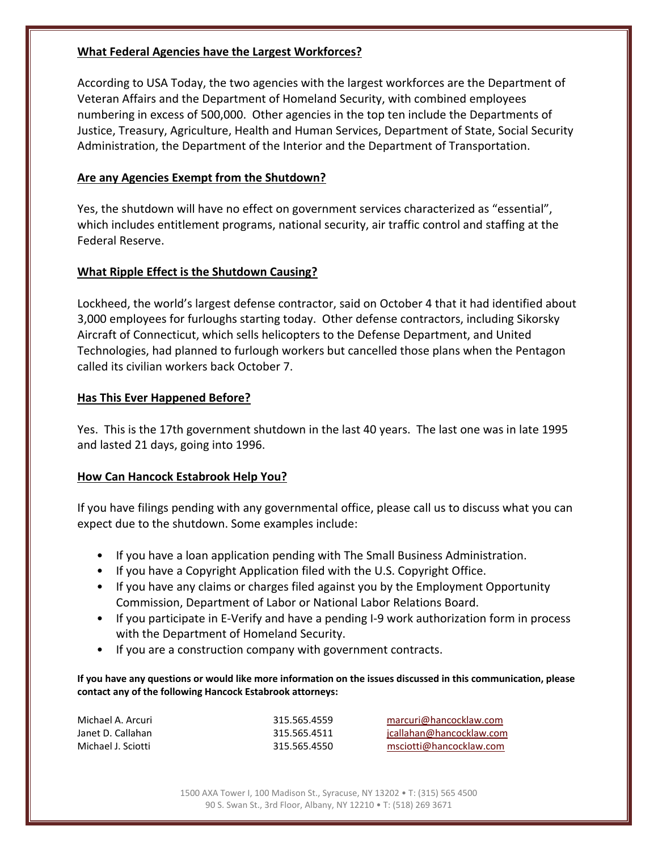#### **What Federal Agencies have the Largest Workforces?**

According to USA Today, the two agencies with the largest workforces are the Department of Veteran Affairs and the Department of Homeland Security, with combined employees numbering in excess of 500,000. Other agencies in the top ten include the Departments of Justice, Treasury, Agriculture, Health and Human Services, Department of State, Social Security Administration, the Department of the Interior and the Department of Transportation.

### **Are any Agencies Exempt from the Shutdown?**

Yes, the shutdown will have no effect on government services characterized as "essential", which includes entitlement programs, national security, air traffic control and staffing at the Federal Reserve.

#### **What Ripple Effect is the Shutdown Causing?**

Lockheed, the world's largest defense contractor, said on October 4 that it had identified about 3,000 employees for furloughs starting today. Other defense contractors, including Sikorsky Aircraft of Connecticut, which sells helicopters to the Defense Department, and United Technologies, had planned to furlough workers but cancelled those plans when the Pentagon called its civilian workers back October 7.

#### **Has This Ever Happened Before?**

l

Yes. This is the 17th government shutdown in the last 40 years. The last one was in late 1995 and lasted 21 days, going into 1996.

## **How Can Hancock Estabrook Help You?**

If you have filings pending with any governmental office, please call us to discuss what you can expect due to the shutdown. Some examples include:

- If you have a loan application pending with The Small Business Administration.
- If you have a Copyright Application filed with the U.S. Copyright Office.
- If you have any claims or charges filed against you by the Employment Opportunity Commission, Department of Labor or National Labor Relations Board.
- If you participate in E-Verify and have a pending I-9 work authorization form in process with the Department of Homeland Security.
- If you are a construction company with government contracts.

If you have any questions or would like more information on the issues discussed in this communication, please **contact any of the following Hancock Estabrook attorneys:**

| Michael A. Arcuri  | 315.565.4559 | marcuri@hancocklaw.com   |
|--------------------|--------------|--------------------------|
| Janet D. Callahan  | 315.565.4511 | jcallahan@hancocklaw.com |
| Michael J. Sciotti | 315.565.4550 | msciotti@hancocklaw.com  |

1500 AXA Tower I, 100 Madison St., Syracuse, NY 13202 • T: (315) 565 4500 90 S. Swan St., 3rd Floor, Albany, NY 12210 • T: (518) 269 3671